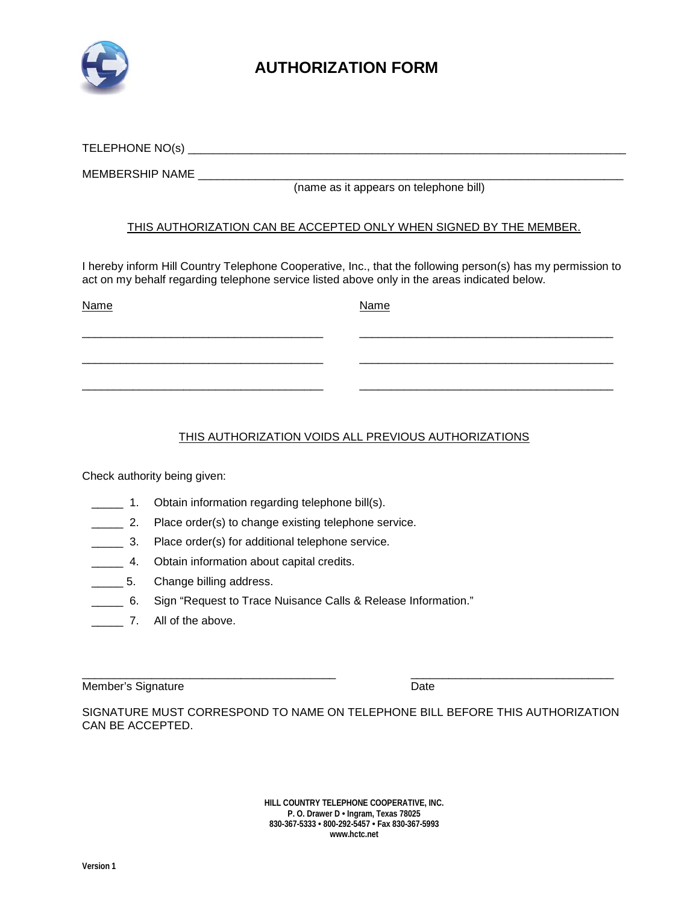

## **AUTHORIZATION FORM**

TELEPHONE NO(s) \_\_\_\_\_\_\_\_\_\_\_\_\_\_\_\_\_\_\_\_\_\_\_\_\_\_\_\_\_\_\_\_\_\_\_\_\_\_\_\_\_\_\_\_\_\_\_\_\_\_\_\_\_\_\_\_\_\_\_\_\_\_\_\_\_\_\_\_\_

MEMBERSHIP NAME

(name as it appears on telephone bill)

## THIS AUTHORIZATION CAN BE ACCEPTED ONLY WHEN SIGNED BY THE MEMBER.

I hereby inform Hill Country Telephone Cooperative, Inc., that the following person(s) has my permission to act on my behalf regarding telephone service listed above only in the areas indicated below.

| <b>Name</b> | <b>Name</b> |
|-------------|-------------|
|             |             |
|             |             |
|             |             |
|             |             |

## THIS AUTHORIZATION VOIDS ALL PREVIOUS AUTHORIZATIONS

Check authority being given:

- **\_\_\_\_\_** 1. Obtain information regarding telephone bill(s).
- **2.** Place order(s) to change existing telephone service.
	- \_\_\_\_\_ 3. Place order(s) for additional telephone service.
- **\_\_\_\_\_\_ 4.** Obtain information about capital credits.
- **\_\_\_\_\_\_\_ 5.** Change billing address.
- \_\_\_\_\_ 6. Sign "Request to Trace Nuisance Calls & Release Information."
- **\_\_\_\_\_** 7. All of the above.

\_\_\_\_\_\_\_\_\_\_\_\_\_\_\_\_\_\_\_\_\_\_\_\_\_\_\_\_\_\_\_\_\_\_\_\_\_\_\_\_ \_\_\_\_\_\_\_\_\_\_\_\_\_\_\_\_\_\_\_\_\_\_\_\_\_\_\_\_\_\_\_\_ Member's Signature **Date** 

SIGNATURE MUST CORRESPOND TO NAME ON TELEPHONE BILL BEFORE THIS AUTHORIZATION CAN BE ACCEPTED.

> **HILL COUNTRY TELEPHONE COOPERATIVE, INC. P. O. Drawer D • Ingram, Texas 78025 830-367-5333 • 800-292-5457 • Fax 830-367-5993 www.hctc.net**